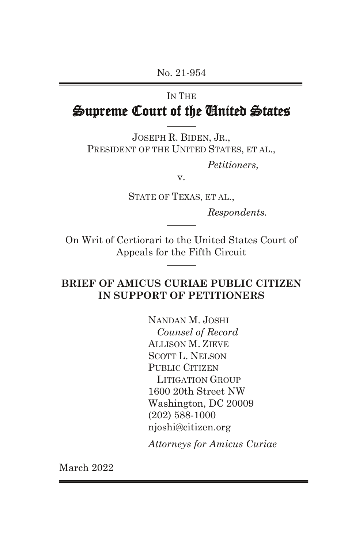# IN THE Supreme Court of the United States

JOSEPH R. BIDEN, JR., PRESIDENT OF THE UNITED STATES, ET AL.,

*Petitioners,*

v.

STATE OF TEXAS, ET AL.,

*Respondents.*

On Writ of Certiorari to the United States Court of Appeals for the Fifth Circuit

## **BRIEF OF AMICUS CURIAE PUBLIC CITIZEN IN SUPPORT OF PETITIONERS**

NANDAN M. JOSHI *Counsel of Record* ALLISON M. ZIEVE SCOTT L. NELSON PUBLIC CITIZEN LITIGATION GROUP 1600 20th Street NW Washington, DC 20009 (202) 588-1000 njoshi@citizen.org

*Attorneys for Amicus Curiae*

March 2022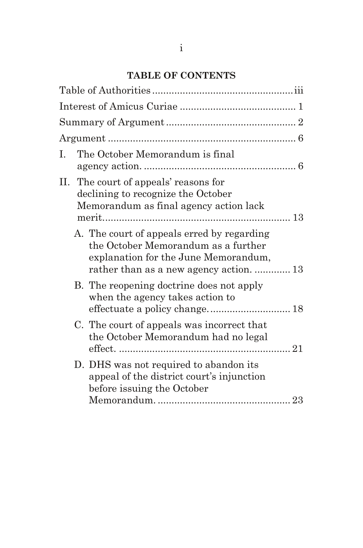# **TABLE OF CONTENTS**

| I. | The October Memorandum is final                                                                                                                                      |  |
|----|----------------------------------------------------------------------------------------------------------------------------------------------------------------------|--|
|    | II. The court of appeals' reasons for<br>declining to recognize the October<br>Memorandum as final agency action lack                                                |  |
|    | A. The court of appeals erred by regarding<br>the October Memorandum as a further<br>explanation for the June Memorandum,<br>rather than as a new agency action.  13 |  |
|    | B. The reopening doctrine does not apply<br>when the agency takes action to                                                                                          |  |
|    | C. The court of appeals was incorrect that<br>the October Memorandum had no legal                                                                                    |  |
|    | D. DHS was not required to abandon its<br>appeal of the district court's injunction<br>before issuing the October                                                    |  |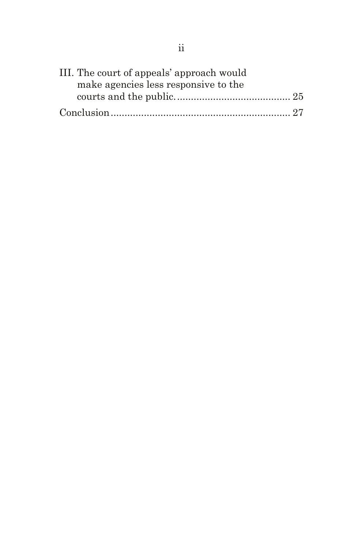| III. The court of appeals' approach would |  |
|-------------------------------------------|--|
| make agencies less responsive to the      |  |
|                                           |  |
|                                           |  |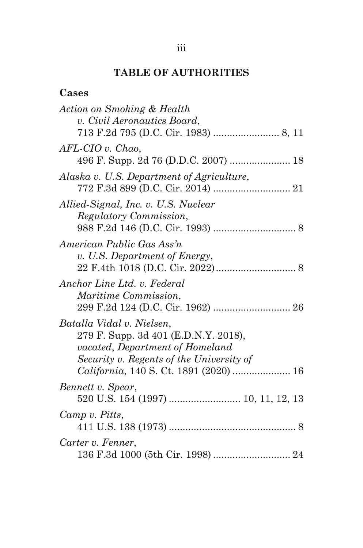# **TABLE OF AUTHORITIES**

| ase |
|-----|
|-----|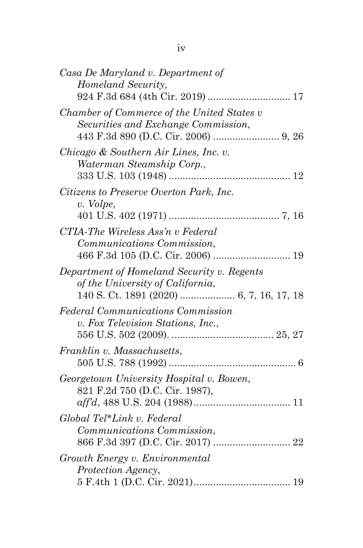| Casa De Maryland v. Department of<br>Homeland Security,<br>924 F.3d 684 (4th Cir. 2019)  17          |
|------------------------------------------------------------------------------------------------------|
| Chamber of Commerce of the United States v<br>Securities and Exchange Commission,                    |
| Chicago & Southern Air Lines, Inc. v.<br>Waterman Steamship Corp.,                                   |
| Citizens to Preserve Overton Park, Inc.<br>v. Volpe,                                                 |
| CTIA-The Wireless Ass'n v Federal<br>Communications Commission,<br>466 F.3d 105 (D.C. Cir. 2006)  19 |
| Department of Homeland Security v. Regents<br>of the University of California,                       |
| <b>Federal Communications Commission</b><br>v. Fox Television Stations, Inc.,                        |
| Franklin v. Massachusetts,                                                                           |
| Georgetown University Hospital v. Bowen,<br>821 F.2d 750 (D.C. Cir. 1987),                           |
| Global Tel*Link v. Federal<br>Communications Commission,<br>866 F.3d 397 (D.C. Cir. 2017)  22        |
| Growth Energy v. Environmental<br>Protection Agency,                                                 |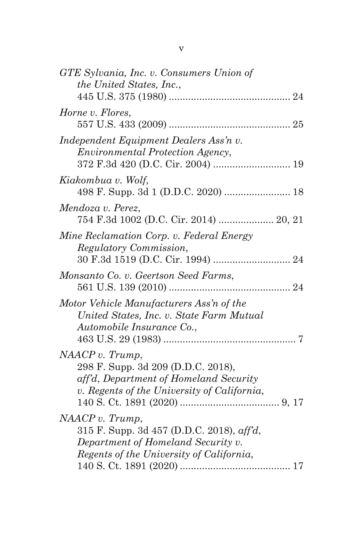| GTE Sylvania, Inc. v. Consumers Union of<br>the United States, Inc.,                                                                                   |  |
|--------------------------------------------------------------------------------------------------------------------------------------------------------|--|
| Horne v. Flores,                                                                                                                                       |  |
| Independent Equipment Dealers Ass'n v.<br><i>Environmental Protection Agency,</i>                                                                      |  |
| Kiakombua v. Wolf,<br>498 F. Supp. 3d 1 (D.D.C. 2020)  18                                                                                              |  |
| Mendoza v. Perez,<br>754 F.3d 1002 (D.C. Cir. 2014)  20, 21                                                                                            |  |
| Mine Reclamation Corp. v. Federal Energy<br>Regulatory Commission,                                                                                     |  |
| Monsanto Co. v. Geertson Seed Farms,                                                                                                                   |  |
| Motor Vehicle Manufacturers Ass'n of the<br>United States, Inc. v. State Farm Mutual<br>Automobile Insurance Co.,                                      |  |
| NAACP v. Trump,<br>298 F. Supp. 3d 209 (D.D.C. 2018),<br>aff'd, Department of Homeland Security<br>v. Regents of the University of California,         |  |
| NAACP v. Trump,<br>315 F. Supp. 3d 457 (D.D.C. 2018), $\alpha f/d$ ,<br>Department of Homeland Security v.<br>Regents of the University of California, |  |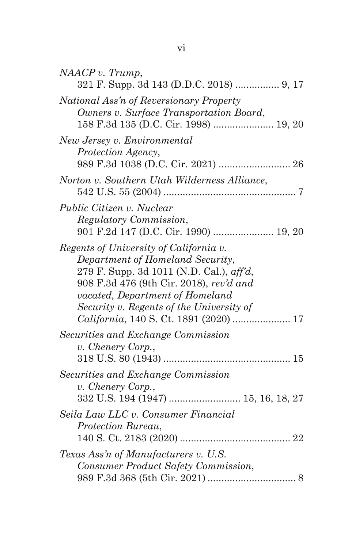| NAACP v. Trump,<br>321 F. Supp. 3d 143 (D.D.C. 2018)  9, 17                                                                                                                                                                                                                                        |
|----------------------------------------------------------------------------------------------------------------------------------------------------------------------------------------------------------------------------------------------------------------------------------------------------|
| National Ass'n of Reversionary Property<br>Owners v. Surface Transportation Board,<br>158 F.3d 135 (D.C. Cir. 1998)  19, 20                                                                                                                                                                        |
| New Jersey v. Environmental<br>Protection Agency,                                                                                                                                                                                                                                                  |
| Norton v. Southern Utah Wilderness Alliance,                                                                                                                                                                                                                                                       |
| Public Citizen v. Nuclear<br>Regulatory Commission,<br>901 F.2d 147 (D.C. Cir. 1990)  19, 20                                                                                                                                                                                                       |
| Regents of University of California v.<br>Department of Homeland Security,<br>279 F. Supp. 3d 1011 (N.D. Cal.), $\alpha f/d$ ,<br>908 F.3d 476 (9th Cir. 2018), rev'd and<br>vacated, Department of Homeland<br>Security v. Regents of the University of<br>California, 140 S. Ct. 1891 (2020)  17 |
| Securities and Exchange Commission<br>v. Chenery Corp.,                                                                                                                                                                                                                                            |
| Securities and Exchange Commission<br>v. Chenery Corp.,                                                                                                                                                                                                                                            |
| Seila Law LLC v. Consumer Financial<br>Protection Bureau,                                                                                                                                                                                                                                          |
| Texas Ass'n of Manufacturers v. U.S.<br>Consumer Product Safety Commission,                                                                                                                                                                                                                        |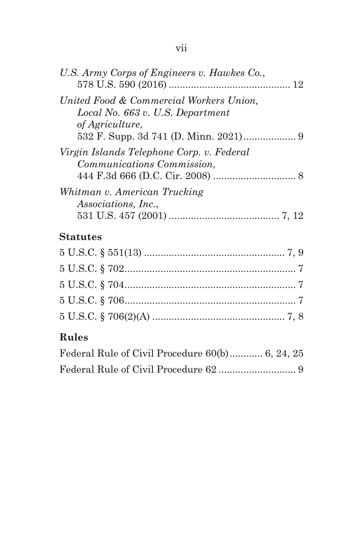| U.S. Army Corps of Engineers v. Hawkes Co.,                                                    |  |
|------------------------------------------------------------------------------------------------|--|
| United Food & Commercial Workers Union,<br>Local No. 663 v. U.S. Department<br>of Agriculture, |  |
| Virgin Islands Telephone Corp. v. Federal<br>Communications Commission,                        |  |
| Whitman v. American Trucking<br><i>Associations, Inc.,</i>                                     |  |
| $\sim$ $\sim$ $\sim$                                                                           |  |

# **Statutes**

# **Rules**

| Federal Rule of Civil Procedure 60(b) 6, 24, 25 |  |
|-------------------------------------------------|--|
|                                                 |  |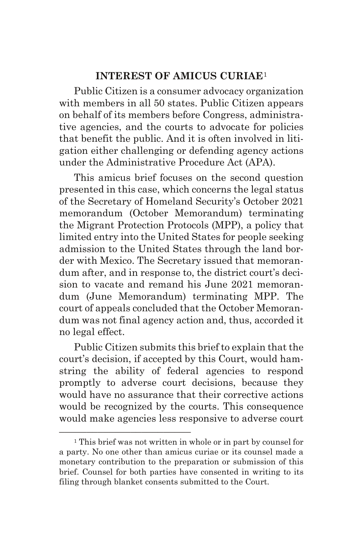#### **INTEREST OF AMICUS CURIAE**[1](#page-8-0)

Public Citizen is a consumer advocacy organization with members in all 50 states. Public Citizen appears on behalf of its members before Congress, administrative agencies, and the courts to advocate for policies that benefit the public. And it is often involved in litigation either challenging or defending agency actions under the Administrative Procedure Act (APA).

This amicus brief focuses on the second question presented in this case, which concerns the legal status of the Secretary of Homeland Security's October 2021 memorandum (October Memorandum) terminating the Migrant Protection Protocols (MPP), a policy that limited entry into the United States for people seeking admission to the United States through the land border with Mexico. The Secretary issued that memorandum after, and in response to, the district court's decision to vacate and remand his June 2021 memorandum (June Memorandum) terminating MPP. The court of appeals concluded that the October Memorandum was not final agency action and, thus, accorded it no legal effect.

Public Citizen submits this brief to explain that the court's decision, if accepted by this Court, would hamstring the ability of federal agencies to respond promptly to adverse court decisions, because they would have no assurance that their corrective actions would be recognized by the courts. This consequence would make agencies less responsive to adverse court

––––––––––––––––––––––––

<span id="page-8-0"></span><sup>1</sup> This brief was not written in whole or in part by counsel for a party. No one other than amicus curiae or its counsel made a monetary contribution to the preparation or submission of this brief. Counsel for both parties have consented in writing to its filing through blanket consents submitted to the Court.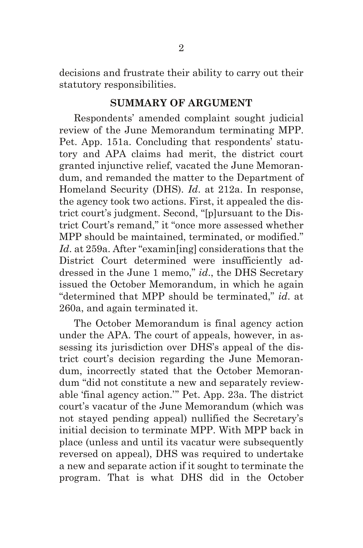decisions and frustrate their ability to carry out their statutory responsibilities.

#### **SUMMARY OF ARGUMENT**

Respondents' amended complaint sought judicial review of the June Memorandum terminating MPP. Pet. App. 151a. Concluding that respondents' statutory and APA claims had merit, the district court granted injunctive relief, vacated the June Memorandum, and remanded the matter to the Department of Homeland Security (DHS). *Id*. at 212a. In response, the agency took two actions. First, it appealed the district court's judgment. Second, "[p]ursuant to the District Court's remand," it "once more assessed whether MPP should be maintained, terminated, or modified." *Id*. at 259a. After "examin[ing] considerations that the District Court determined were insufficiently addressed in the June 1 memo," *id*., the DHS Secretary issued the October Memorandum, in which he again "determined that MPP should be terminated," *id*. at 260a, and again terminated it.

The October Memorandum is final agency action under the APA. The court of appeals, however, in assessing its jurisdiction over DHS's appeal of the district court's decision regarding the June Memorandum, incorrectly stated that the October Memorandum "did not constitute a new and separately reviewable 'final agency action.'" Pet. App. 23a. The district court's vacatur of the June Memorandum (which was not stayed pending appeal) nullified the Secretary's initial decision to terminate MPP. With MPP back in place (unless and until its vacatur were subsequently reversed on appeal), DHS was required to undertake a new and separate action if it sought to terminate the program. That is what DHS did in the October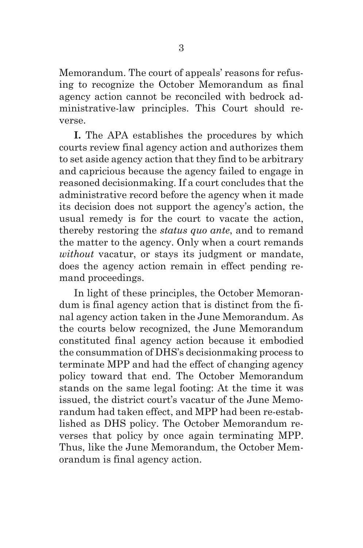Memorandum. The court of appeals' reasons for refusing to recognize the October Memorandum as final agency action cannot be reconciled with bedrock administrative-law principles. This Court should reverse.

**I.** The APA establishes the procedures by which courts review final agency action and authorizes them to set aside agency action that they find to be arbitrary and capricious because the agency failed to engage in reasoned decisionmaking. If a court concludes that the administrative record before the agency when it made its decision does not support the agency's action, the usual remedy is for the court to vacate the action, thereby restoring the *status quo ante*, and to remand the matter to the agency. Only when a court remands *without* vacatur, or stays its judgment or mandate, does the agency action remain in effect pending remand proceedings.

In light of these principles, the October Memorandum is final agency action that is distinct from the final agency action taken in the June Memorandum. As the courts below recognized, the June Memorandum constituted final agency action because it embodied the consummation of DHS's decisionmaking process to terminate MPP and had the effect of changing agency policy toward that end. The October Memorandum stands on the same legal footing: At the time it was issued, the district court's vacatur of the June Memorandum had taken effect, and MPP had been re-established as DHS policy. The October Memorandum reverses that policy by once again terminating MPP. Thus, like the June Memorandum, the October Memorandum is final agency action.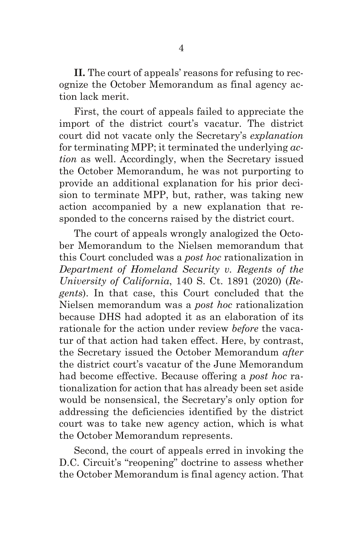**II.** The court of appeals' reasons for refusing to recognize the October Memorandum as final agency action lack merit.

First, the court of appeals failed to appreciate the import of the district court's vacatur. The district court did not vacate only the Secretary's *explanation* for terminating MPP; it terminated the underlying *action* as well. Accordingly, when the Secretary issued the October Memorandum, he was not purporting to provide an additional explanation for his prior decision to terminate MPP, but, rather, was taking new action accompanied by a new explanation that responded to the concerns raised by the district court.

The court of appeals wrongly analogized the October Memorandum to the Nielsen memorandum that this Court concluded was a *post hoc* rationalization in *Department of Homeland Security v. Regents of the University of California*, 140 S. Ct. 1891 (2020) (*Regents*). In that case, this Court concluded that the Nielsen memorandum was a *post hoc* rationalization because DHS had adopted it as an elaboration of its rationale for the action under review *before* the vacatur of that action had taken effect. Here, by contrast, the Secretary issued the October Memorandum *after* the district court's vacatur of the June Memorandum had become effective. Because offering a *post hoc* rationalization for action that has already been set aside would be nonsensical, the Secretary's only option for addressing the deficiencies identified by the district court was to take new agency action, which is what the October Memorandum represents.

Second, the court of appeals erred in invoking the D.C. Circuit's "reopening" doctrine to assess whether the October Memorandum is final agency action. That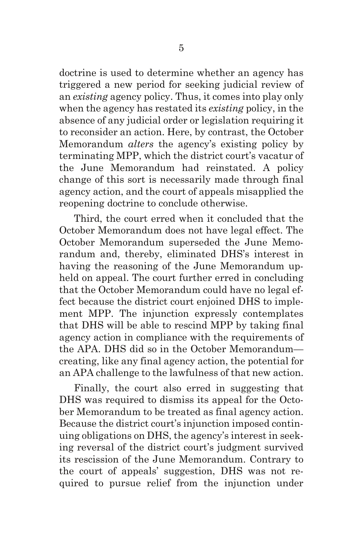doctrine is used to determine whether an agency has triggered a new period for seeking judicial review of an *existing* agency policy. Thus, it comes into play only when the agency has restated its *existing* policy, in the absence of any judicial order or legislation requiring it to reconsider an action. Here, by contrast, the October Memorandum *alters* the agency's existing policy by terminating MPP, which the district court's vacatur of the June Memorandum had reinstated. A policy change of this sort is necessarily made through final agency action, and the court of appeals misapplied the reopening doctrine to conclude otherwise.

Third, the court erred when it concluded that the October Memorandum does not have legal effect. The October Memorandum superseded the June Memorandum and, thereby, eliminated DHS's interest in having the reasoning of the June Memorandum upheld on appeal. The court further erred in concluding that the October Memorandum could have no legal effect because the district court enjoined DHS to implement MPP. The injunction expressly contemplates that DHS will be able to rescind MPP by taking final agency action in compliance with the requirements of the APA. DHS did so in the October Memorandum creating, like any final agency action, the potential for an APA challenge to the lawfulness of that new action.

Finally, the court also erred in suggesting that DHS was required to dismiss its appeal for the October Memorandum to be treated as final agency action. Because the district court's injunction imposed continuing obligations on DHS, the agency's interest in seeking reversal of the district court's judgment survived its rescission of the June Memorandum. Contrary to the court of appeals' suggestion, DHS was not required to pursue relief from the injunction under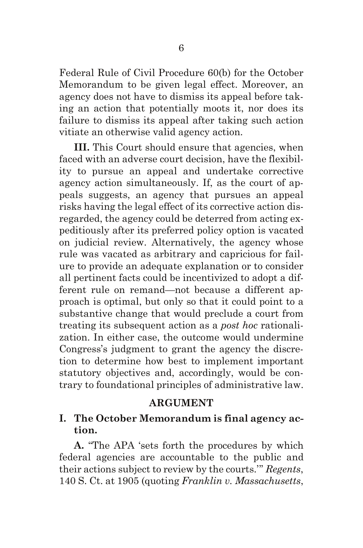Federal Rule of Civil Procedure 60(b) for the October Memorandum to be given legal effect. Moreover, an agency does not have to dismiss its appeal before taking an action that potentially moots it, nor does its failure to dismiss its appeal after taking such action vitiate an otherwise valid agency action.

**III.** This Court should ensure that agencies, when faced with an adverse court decision, have the flexibility to pursue an appeal and undertake corrective agency action simultaneously. If, as the court of appeals suggests, an agency that pursues an appeal risks having the legal effect of its corrective action disregarded, the agency could be deterred from acting expeditiously after its preferred policy option is vacated on judicial review. Alternatively, the agency whose rule was vacated as arbitrary and capricious for failure to provide an adequate explanation or to consider all pertinent facts could be incentivized to adopt a different rule on remand—not because a different approach is optimal, but only so that it could point to a substantive change that would preclude a court from treating its subsequent action as a *post hoc* rationalization. In either case, the outcome would undermine Congress's judgment to grant the agency the discretion to determine how best to implement important statutory objectives and, accordingly, would be contrary to foundational principles of administrative law.

#### **ARGUMENT**

## **I. The October Memorandum is final agency action.**

**A.** "The APA 'sets forth the procedures by which federal agencies are accountable to the public and their actions subject to review by the courts.'" *Regents*, 140 S. Ct. at 1905 (quoting *Franklin v. Massachusetts*,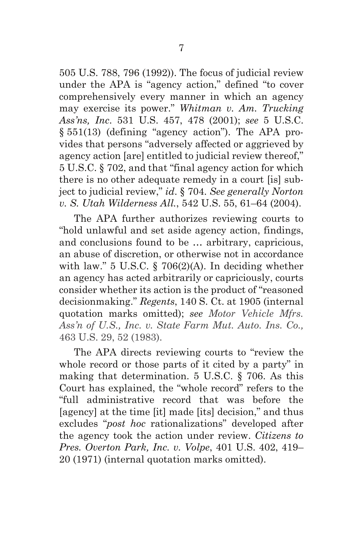505 U.S. 788, 796 (1992)). The focus of judicial review under the APA is "agency action," defined "to cover comprehensively every manner in which an agency may exercise its power." *Whitman v. Am. Trucking Ass'ns, Inc*. 531 U.S. 457, 478 (2001); *see* 5 U.S.C. § 551(13) (defining "agency action"). The APA provides that persons "adversely affected or aggrieved by agency action [are] entitled to judicial review thereof," 5 U.S.C. § 702, and that "final agency action for which there is no other adequate remedy in a court [is] subject to judicial review," *id*. § 704. *See generally Norton v. S. Utah Wilderness All.*, 542 U.S. 55, 61–64 (2004).

The APA further authorizes reviewing courts to "hold unlawful and set aside agency action, findings, and conclusions found to be … arbitrary, capricious, an abuse of discretion, or otherwise not in accordance with law." 5 U.S.C. § 706(2)(A). In deciding whether an agency has acted arbitrarily or capriciously, courts consider whether its action is the product of "reasoned decisionmaking." *Regents*, 140 S. Ct. at 1905 (internal quotation marks omitted); *see Motor Vehicle Mfrs. Ass'n of U.S., Inc. v. State Farm Mut. Auto. Ins. Co.,*  463 U.S. 29, 52 (1983).

The APA directs reviewing courts to "review the whole record or those parts of it cited by a party" in making that determination. 5 U.S.C. § 706. As this Court has explained, the "whole record" refers to the "full administrative record that was before the [agency] at the time [it] made [its] decision," and thus excludes "*post hoc* rationalizations" developed after the agency took the action under review. *Citizens to Pres. Overton Park, Inc. v. Volpe*, 401 U.S. 402, 419– 20 (1971) (internal quotation marks omitted).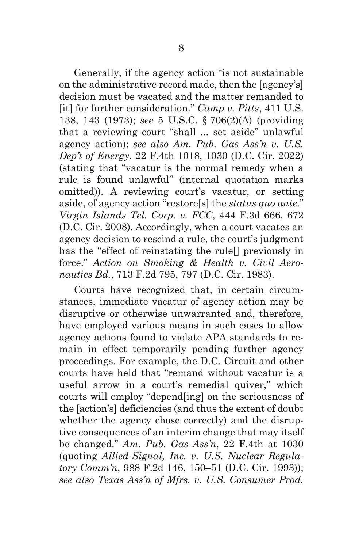Generally, if the agency action "is not sustainable on the administrative record made, then the [agency's] decision must be vacated and the matter remanded to [it] for further consideration." *Camp v. Pitts*, 411 U.S. 138, 143 (1973); *see* 5 U.S.C. § 706(2)(A) (providing that a reviewing court "shall ... set aside" unlawful agency action); *see also Am. Pub. Gas Ass'n v. U.S. Dep't of Energy*, 22 F.4th 1018, 1030 (D.C. Cir. 2022) (stating that "vacatur is the normal remedy when a rule is found unlawful" (internal quotation marks omitted)). A reviewing court's vacatur, or setting aside, of agency action "restore[s] the *status quo ante*." *Virgin Islands Tel. Corp. v. FCC*, 444 F.3d 666, 672 (D.C. Cir. 2008). Accordingly, when a court vacates an agency decision to rescind a rule, the court's judgment has the "effect of reinstating the rule<sup>[]</sup> previously in force." *Action on Smoking & Health v. Civil Aeronautics Bd.*, 713 F.2d 795, 797 (D.C. Cir. 1983).

Courts have recognized that, in certain circumstances, immediate vacatur of agency action may be disruptive or otherwise unwarranted and, therefore, have employed various means in such cases to allow agency actions found to violate APA standards to remain in effect temporarily pending further agency proceedings. For example, the D.C. Circuit and other courts have held that "remand without vacatur is a useful arrow in a court's remedial quiver," which courts will employ "depend[ing] on the seriousness of the [action's] deficiencies (and thus the extent of doubt whether the agency chose correctly) and the disruptive consequences of an interim change that may itself be changed." *Am. Pub. Gas Ass'n*, 22 F.4th at 1030 (quoting *Allied-Signal, Inc. v. U.S. Nuclear Regulatory Comm'n*, 988 F.2d 146, 150–51 (D.C. Cir. 1993)); *see also Texas Ass'n of Mfrs. v. U.S. Consumer Prod.*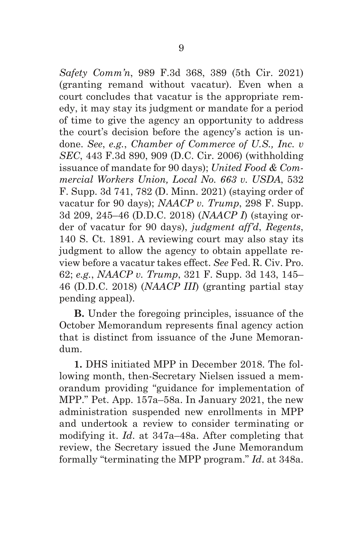*Safety Comm'n*, 989 F.3d 368, 389 (5th Cir. 2021) (granting remand without vacatur). Even when a court concludes that vacatur is the appropriate remedy, it may stay its judgment or mandate for a period of time to give the agency an opportunity to address the court's decision before the agency's action is undone. *See*, *e.g.*, *Chamber of Commerce of U.S., Inc. v SEC*, 443 F.3d 890, 909 (D.C. Cir. 2006) (withholding issuance of mandate for 90 days); *United Food & Commercial Workers Union, Local No. 663 v. USDA*, 532 F. Supp. 3d 741, 782 (D. Minn. 2021) (staying order of vacatur for 90 days); *NAACP v. Trump*, 298 F. Supp. 3d 209, 245–46 (D.D.C. 2018) (*NAACP I*) (staying order of vacatur for 90 days), *judgment aff'd*, *Regents*, 140 S. Ct. 1891. A reviewing court may also stay its judgment to allow the agency to obtain appellate review before a vacatur takes effect. *See* Fed. R. Civ. Pro. 62; *e.g.*, *NAACP v. Trump*, 321 F. Supp. 3d 143, 145– 46 (D.D.C. 2018) (*NAACP III*) (granting partial stay pending appeal).

**B.** Under the foregoing principles, issuance of the October Memorandum represents final agency action that is distinct from issuance of the June Memorandum.

**1.** DHS initiated MPP in December 2018. The following month, then-Secretary Nielsen issued a memorandum providing "guidance for implementation of MPP." Pet. App. 157a–58a. In January 2021, the new administration suspended new enrollments in MPP and undertook a review to consider terminating or modifying it. *Id*. at 347a–48a. After completing that review, the Secretary issued the June Memorandum formally "terminating the MPP program." *Id*. at 348a.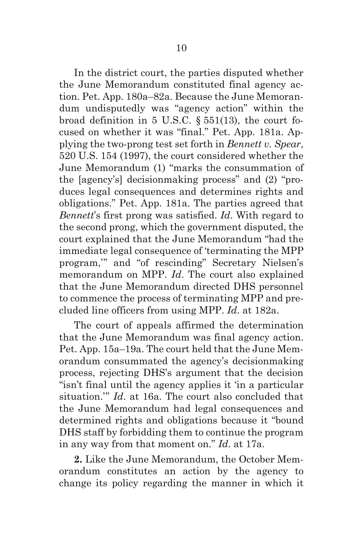In the district court, the parties disputed whether the June Memorandum constituted final agency action. Pet. App. 180a–82a. Because the June Memorandum undisputedly was "agency action" within the broad definition in 5 U.S.C.  $\S$  551(13), the court focused on whether it was "final." Pet. App. 181a. Applying the two-prong test set forth in *Bennett v. Spear*, 520 U.S. 154 (1997), the court considered whether the June Memorandum (1) "marks the consummation of the [agency's] decisionmaking process" and (2) "produces legal consequences and determines rights and obligations." Pet. App. 181a. The parties agreed that *Bennett*'s first prong was satisfied. *Id*. With regard to the second prong, which the government disputed, the court explained that the June Memorandum "had the immediate legal consequence of 'terminating the MPP program,'" and "of rescinding" Secretary Nielsen's memorandum on MPP. *Id*. The court also explained that the June Memorandum directed DHS personnel to commence the process of terminating MPP and precluded line officers from using MPP. *Id*. at 182a.

The court of appeals affirmed the determination that the June Memorandum was final agency action. Pet. App. 15a–19a. The court held that the June Memorandum consummated the agency's decisionmaking process, rejecting DHS's argument that the decision "isn't final until the agency applies it 'in a particular situation.'" *Id*. at 16a. The court also concluded that the June Memorandum had legal consequences and determined rights and obligations because it "bound DHS staff by forbidding them to continue the program in any way from that moment on." *Id*. at 17a.

**2.** Like the June Memorandum, the October Memorandum constitutes an action by the agency to change its policy regarding the manner in which it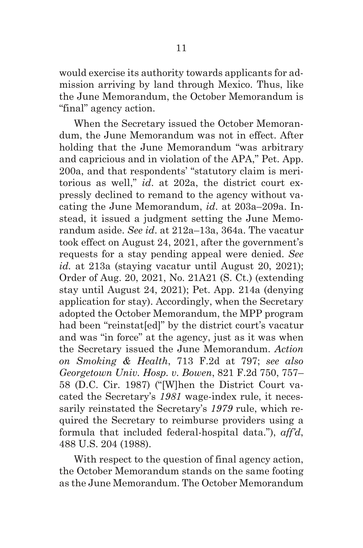would exercise its authority towards applicants for admission arriving by land through Mexico. Thus, like the June Memorandum, the October Memorandum is "final" agency action.

When the Secretary issued the October Memorandum, the June Memorandum was not in effect. After holding that the June Memorandum "was arbitrary and capricious and in violation of the APA," Pet. App. 200a, and that respondents' "statutory claim is meritorious as well," *id*. at 202a, the district court expressly declined to remand to the agency without vacating the June Memorandum, *id*. at 203a–209a. Instead, it issued a judgment setting the June Memorandum aside. *See id*. at 212a–13a, 364a. The vacatur took effect on August 24, 2021, after the government's requests for a stay pending appeal were denied. *See id.* at 213a (staying vacatur until August 20, 2021); Order of Aug. 20, 2021, No. 21A21 (S. Ct.) (extending stay until August 24, 2021); Pet. App. 214a (denying application for stay). Accordingly, when the Secretary adopted the October Memorandum, the MPP program had been "reinstat[ed]" by the district court's vacatur and was "in force" at the agency, just as it was when the Secretary issued the June Memorandum. *Action on Smoking & Health*, 713 F.2d at 797; *see also Georgetown Univ. Hosp. v. Bowen*, 821 F.2d 750, 757– 58 (D.C. Cir. 1987) ("[W]hen the District Court vacated the Secretary's *1981* wage-index rule, it necessarily reinstated the Secretary's *1979* rule, which required the Secretary to reimburse providers using a formula that included federal-hospital data."), *aff'd*, 488 U.S. 204 (1988).

With respect to the question of final agency action, the October Memorandum stands on the same footing as the June Memorandum. The October Memorandum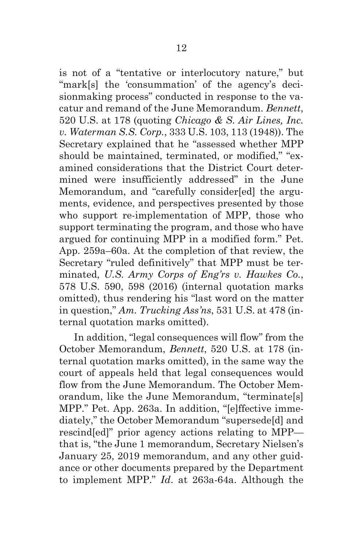is not of a "tentative or interlocutory nature," but "mark[s] the 'consummation' of the agency's decisionmaking process" conducted in response to the vacatur and remand of the June Memorandum. *Bennett*, 520 U.S. at 178 (quoting *Chicago & S. Air Lines, Inc. v. Waterman S.S. Corp.*, 333 U.S. 103, 113 (1948)). The Secretary explained that he "assessed whether MPP should be maintained, terminated, or modified," "examined considerations that the District Court determined were insufficiently addressed" in the June Memorandum, and "carefully consider[ed] the arguments, evidence, and perspectives presented by those who support re-implementation of MPP, those who support terminating the program, and those who have argued for continuing MPP in a modified form." Pet. App. 259a–60a. At the completion of that review, the Secretary "ruled definitively" that MPP must be terminated, *U.S. Army Corps of Eng'rs v. Hawkes Co.*, 578 U.S. 590, 598 (2016) (internal quotation marks omitted), thus rendering his "last word on the matter in question," *Am. Trucking Ass'ns*, 531 U.S. at 478 (internal quotation marks omitted).

In addition, "legal consequences will flow" from the October Memorandum, *Bennett*, 520 U.S. at 178 (internal quotation marks omitted), in the same way the court of appeals held that legal consequences would flow from the June Memorandum. The October Memorandum, like the June Memorandum, "terminate[s] MPP." Pet. App. 263a. In addition, "[e]ffective immediately," the October Memorandum "supersede[d] and rescind[ed]" prior agency actions relating to MPP that is, "the June 1 memorandum, Secretary Nielsen's January 25, 2019 memorandum, and any other guidance or other documents prepared by the Department to implement MPP." *Id*. at 263a-64a. Although the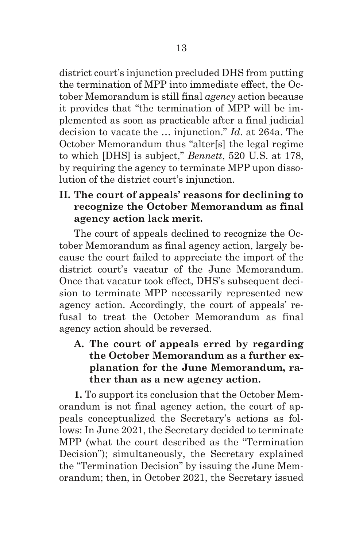district court's injunction precluded DHS from putting the termination of MPP into immediate effect, the October Memorandum is still final *agency* action because it provides that "the termination of MPP will be implemented as soon as practicable after a final judicial decision to vacate the … injunction." *Id*. at 264a. The October Memorandum thus "alter[s] the legal regime to which [DHS] is subject," *Bennett*, 520 U.S. at 178, by requiring the agency to terminate MPP upon dissolution of the district court's injunction.

**II. The court of appeals' reasons for declining to recognize the October Memorandum as final agency action lack merit.**

The court of appeals declined to recognize the October Memorandum as final agency action, largely because the court failed to appreciate the import of the district court's vacatur of the June Memorandum. Once that vacatur took effect, DHS's subsequent decision to terminate MPP necessarily represented new agency action. Accordingly, the court of appeals' refusal to treat the October Memorandum as final agency action should be reversed.

**A. The court of appeals erred by regarding the October Memorandum as a further explanation for the June Memorandum, rather than as a new agency action.**

**1.** To support its conclusion that the October Memorandum is not final agency action, the court of appeals conceptualized the Secretary's actions as follows: In June 2021, the Secretary decided to terminate MPP (what the court described as the "Termination Decision"); simultaneously, the Secretary explained the "Termination Decision" by issuing the June Memorandum; then, in October 2021, the Secretary issued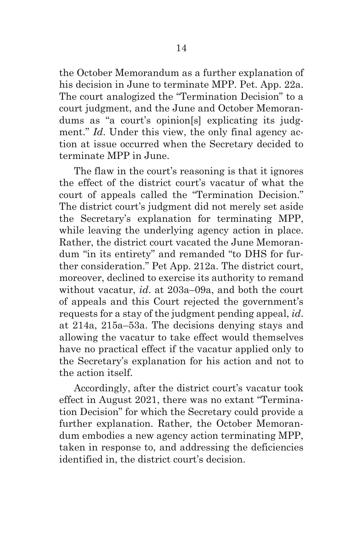the October Memorandum as a further explanation of his decision in June to terminate MPP. Pet. App. 22a. The court analogized the "Termination Decision" to a court judgment, and the June and October Memorandums as "a court's opinion[s] explicating its judgment." *Id*. Under this view, the only final agency action at issue occurred when the Secretary decided to terminate MPP in June.

The flaw in the court's reasoning is that it ignores the effect of the district court's vacatur of what the court of appeals called the "Termination Decision." The district court's judgment did not merely set aside the Secretary's explanation for terminating MPP, while leaving the underlying agency action in place. Rather, the district court vacated the June Memorandum "in its entirety" and remanded "to DHS for further consideration." Pet App. 212a. The district court, moreover, declined to exercise its authority to remand without vacatur, *id*. at 203a–09a, and both the court of appeals and this Court rejected the government's requests for a stay of the judgment pending appeal, *id*. at 214a, 215a–53a. The decisions denying stays and allowing the vacatur to take effect would themselves have no practical effect if the vacatur applied only to the Secretary's explanation for his action and not to the action itself.

Accordingly, after the district court's vacatur took effect in August 2021, there was no extant "Termination Decision" for which the Secretary could provide a further explanation. Rather, the October Memorandum embodies a new agency action terminating MPP, taken in response to, and addressing the deficiencies identified in, the district court's decision.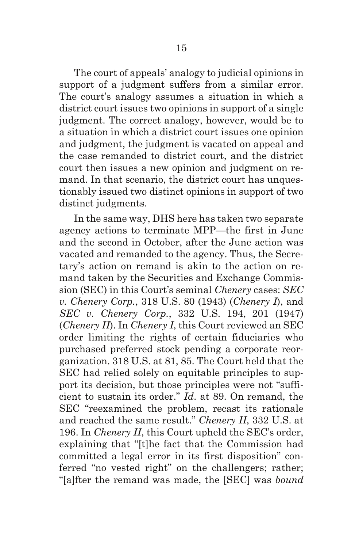The court of appeals' analogy to judicial opinions in support of a judgment suffers from a similar error. The court's analogy assumes a situation in which a district court issues two opinions in support of a single judgment. The correct analogy, however, would be to a situation in which a district court issues one opinion and judgment, the judgment is vacated on appeal and the case remanded to district court, and the district court then issues a new opinion and judgment on remand. In that scenario, the district court has unquestionably issued two distinct opinions in support of two distinct judgments.

In the same way, DHS here has taken two separate agency actions to terminate MPP—the first in June and the second in October, after the June action was vacated and remanded to the agency. Thus, the Secretary's action on remand is akin to the action on remand taken by the Securities and Exchange Commission (SEC) in this Court's seminal *Chenery* cases: *SEC v. Chenery Corp.*, 318 U.S. 80 (1943) (*Chenery I*), and *SEC v. Chenery Corp.*, 332 U.S. 194, 201 (1947) (*Chenery II*). In *Chenery I*, this Court reviewed an SEC order limiting the rights of certain fiduciaries who purchased preferred stock pending a corporate reorganization. 318 U.S. at 81, 85. The Court held that the SEC had relied solely on equitable principles to support its decision, but those principles were not "sufficient to sustain its order." *Id*. at 89. On remand, the SEC "reexamined the problem, recast its rationale and reached the same result." *Chenery II*, 332 U.S. at 196. In *Chenery II*, this Court upheld the SEC's order, explaining that "[t]he fact that the Commission had committed a legal error in its first disposition" conferred "no vested right" on the challengers; rather; "[a]fter the remand was made, the [SEC] was *bound*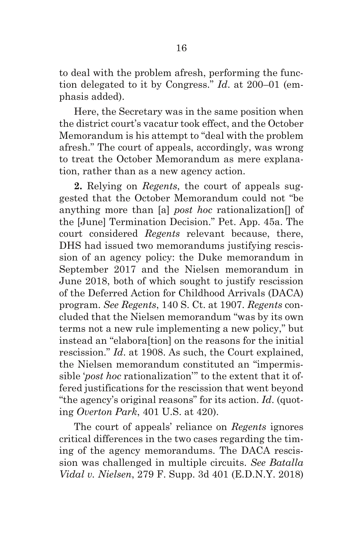to deal with the problem afresh, performing the function delegated to it by Congress." *Id*. at 200–01 (emphasis added).

Here, the Secretary was in the same position when the district court's vacatur took effect, and the October Memorandum is his attempt to "deal with the problem afresh." The court of appeals, accordingly, was wrong to treat the October Memorandum as mere explanation, rather than as a new agency action.

**2.** Relying on *Regents*, the court of appeals suggested that the October Memorandum could not "be anything more than [a] *post hoc* rationalization[] of the [June] Termination Decision." Pet. App. 45a. The court considered *Regents* relevant because, there, DHS had issued two memorandums justifying rescission of an agency policy: the Duke memorandum in September 2017 and the Nielsen memorandum in June 2018, both of which sought to justify rescission of the Deferred Action for Childhood Arrivals (DACA) program. *See Regents*, 140 S. Ct. at 1907. *Regents* concluded that the Nielsen memorandum "was by its own terms not a new rule implementing a new policy," but instead an "elabora[tion] on the reasons for the initial rescission." *Id*. at 1908. As such, the Court explained, the Nielsen memorandum constituted an "impermissible '*post hoc* rationalization'" to the extent that it offered justifications for the rescission that went beyond "the agency's original reasons" for its action. *Id*. (quoting *Overton Park*, 401 U.S. at 420).

The court of appeals' reliance on *Regents* ignores critical differences in the two cases regarding the timing of the agency memorandums. The DACA rescission was challenged in multiple circuits. *See Batalla Vidal v. Nielsen*, 279 F. Supp. 3d 401 (E.D.N.Y. 2018)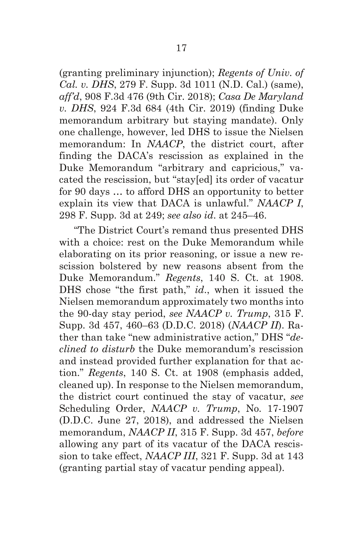(granting preliminary injunction); *Regents of Univ. of Cal. v. DHS*, 279 F. Supp. 3d 1011 (N.D. Cal.) (same), *aff'd*, 908 F.3d 476 (9th Cir. 2018); *Casa De Maryland v. DHS*, 924 F.3d 684 (4th Cir. 2019) (finding Duke memorandum arbitrary but staying mandate). Only one challenge, however, led DHS to issue the Nielsen memorandum: In *NAACP*, the district court, after finding the DACA's rescission as explained in the Duke Memorandum "arbitrary and capricious," vacated the rescission, but "stay[ed] its order of vacatur for 90 days … to afford DHS an opportunity to better explain its view that DACA is unlawful." *NAACP I*, 298 F. Supp. 3d at 249; *see also id*. at 245–46.

"The District Court's remand thus presented DHS with a choice: rest on the Duke Memorandum while elaborating on its prior reasoning, or issue a new rescission bolstered by new reasons absent from the Duke Memorandum." *Regents*, 140 S. Ct. at 1908. DHS chose "the first path," *id*., when it issued the Nielsen memorandum approximately two months into the 90-day stay period, *see NAACP v. Trump*, 315 F. Supp. 3d 457, 460–63 (D.D.C. 2018) (*NAACP II*). Rather than take "new administrative action," DHS "*declined to disturb* the Duke memorandum's rescission and instead provided further explanation for that action." *Regents*, 140 S. Ct. at 1908 (emphasis added, cleaned up). In response to the Nielsen memorandum, the district court continued the stay of vacatur, *see* Scheduling Order, *NAACP v. Trump*, No. 17-1907 (D.D.C. June 27, 2018), and addressed the Nielsen memorandum, *NAACP II*, 315 F. Supp. 3d 457, *before* allowing any part of its vacatur of the DACA rescission to take effect, *NAACP III*, 321 F. Supp. 3d at 143 (granting partial stay of vacatur pending appeal).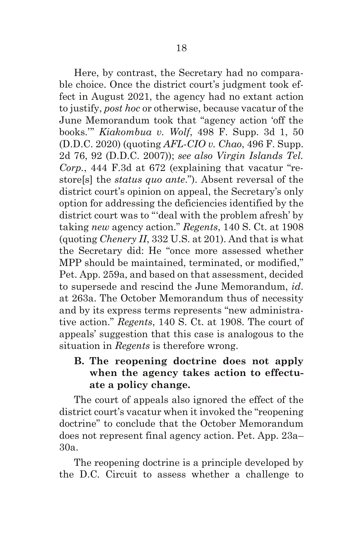Here, by contrast, the Secretary had no comparable choice. Once the district court's judgment took effect in August 2021, the agency had no extant action to justify, *post hoc* or otherwise, because vacatur of the June Memorandum took that "agency action 'off the books.'" *Kiakombua v. Wolf*, 498 F. Supp. 3d 1, 50 (D.D.C. 2020) (quoting *AFL-CIO v. Chao*, 496 F. Supp. 2d 76, 92 (D.D.C. 2007)); *see also Virgin Islands Tel. Corp.*, 444 F.3d at 672 (explaining that vacatur "restore[s] the *status quo ante*."). Absent reversal of the district court's opinion on appeal, the Secretary's only option for addressing the deficiencies identified by the district court was to "'deal with the problem afresh' by taking *new* agency action." *Regents*, 140 S. Ct. at 1908 (quoting *Chenery II*, 332 U.S. at 201). And that is what the Secretary did: He "once more assessed whether MPP should be maintained, terminated, or modified," Pet. App. 259a, and based on that assessment, decided to supersede and rescind the June Memorandum, *id*. at 263a. The October Memorandum thus of necessity and by its express terms represents "new administrative action." *Regents*, 140 S. Ct. at 1908. The court of appeals' suggestion that this case is analogous to the situation in *Regents* is therefore wrong.

## **B. The reopening doctrine does not apply when the agency takes action to effectuate a policy change.**

The court of appeals also ignored the effect of the district court's vacatur when it invoked the "reopening doctrine" to conclude that the October Memorandum does not represent final agency action. Pet. App. 23a– 30a.

The reopening doctrine is a principle developed by the D.C. Circuit to assess whether a challenge to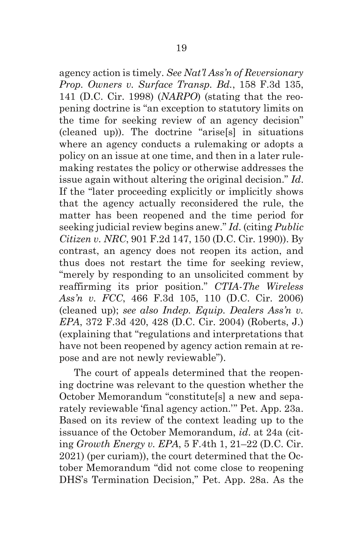agency action is timely. *See Nat'l Ass'n of Reversionary Prop. Owners v. Surface Transp. Bd.*, 158 F.3d 135, 141 (D.C. Cir. 1998) (*NARPO*) (stating that the reopening doctrine is "an exception to statutory limits on the time for seeking review of an agency decision" (cleaned up)). The doctrine "arise[s] in situations where an agency conducts a rulemaking or adopts a policy on an issue at one time, and then in a later rulemaking restates the policy or otherwise addresses the issue again without altering the original decision." *Id*. If the "later proceeding explicitly or implicitly shows that the agency actually reconsidered the rule, the matter has been reopened and the time period for seeking judicial review begins anew." *Id*. (citing *Public Citizen v. NRC*, 901 F.2d 147, 150 (D.C. Cir. 1990)). By contrast, an agency does not reopen its action, and thus does not restart the time for seeking review, "merely by responding to an unsolicited comment by reaffirming its prior position." *CTIA-The Wireless Ass'n v. FCC*, 466 F.3d 105, 110 (D.C. Cir. 2006) (cleaned up); *see also Indep. Equip. Dealers Ass'n v. EPA*, 372 F.3d 420, 428 (D.C. Cir. 2004) (Roberts, J.) (explaining that "regulations and interpretations that have not been reopened by agency action remain at repose and are not newly reviewable").

The court of appeals determined that the reopening doctrine was relevant to the question whether the October Memorandum "constitute[s] a new and separately reviewable 'final agency action.'" Pet. App. 23a. Based on its review of the context leading up to the issuance of the October Memorandum, *id*. at 24a (citing *Growth Energy v. EPA*, 5 F.4th 1, 21–22 (D.C. Cir. 2021) (per curiam)), the court determined that the October Memorandum "did not come close to reopening DHS's Termination Decision," Pet. App. 28a. As the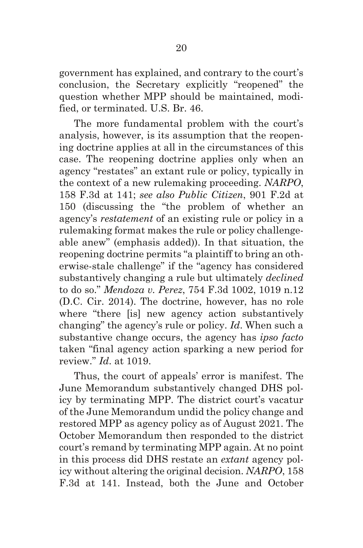government has explained, and contrary to the court's conclusion, the Secretary explicitly "reopened" the question whether MPP should be maintained, modified, or terminated. U.S. Br. 46.

The more fundamental problem with the court's analysis, however, is its assumption that the reopening doctrine applies at all in the circumstances of this case. The reopening doctrine applies only when an agency "restates" an extant rule or policy, typically in the context of a new rulemaking proceeding. *NARPO*, 158 F.3d at 141; *see also Public Citizen*, 901 F.2d at 150 (discussing the "the problem of whether an agency's *restatement* of an existing rule or policy in a rulemaking format makes the rule or policy challengeable anew" (emphasis added)). In that situation, the reopening doctrine permits "a plaintiff to bring an otherwise-stale challenge" if the "agency has considered substantively changing a rule but ultimately *declined* to do so." *Mendoza v. Perez*, 754 F.3d 1002, 1019 n.12 (D.C. Cir. 2014). The doctrine, however, has no role where "there [is] new agency action substantively changing" the agency's rule or policy. *Id*. When such a substantive change occurs, the agency has *ipso facto* taken "final agency action sparking a new period for review." *Id*. at 1019.

Thus, the court of appeals' error is manifest. The June Memorandum substantively changed DHS policy by terminating MPP. The district court's vacatur of the June Memorandum undid the policy change and restored MPP as agency policy as of August 2021. The October Memorandum then responded to the district court's remand by terminating MPP again. At no point in this process did DHS restate an *extant* agency policy without altering the original decision. *NARPO*, 158 F.3d at 141. Instead, both the June and October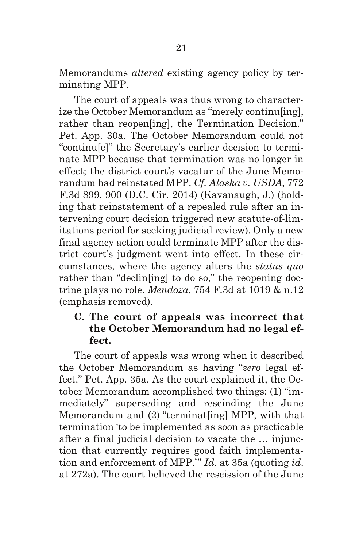Memorandums *altered* existing agency policy by terminating MPP.

The court of appeals was thus wrong to characterize the October Memorandum as "merely continu[ing], rather than reopen[ing], the Termination Decision." Pet. App. 30a. The October Memorandum could not "continu[e]" the Secretary's earlier decision to terminate MPP because that termination was no longer in effect; the district court's vacatur of the June Memorandum had reinstated MPP. *Cf. Alaska v. USDA*, 772 F.3d 899, 900 (D.C. Cir. 2014) (Kavanaugh, J.) (holding that reinstatement of a repealed rule after an intervening court decision triggered new statute-of-limitations period for seeking judicial review). Only a new final agency action could terminate MPP after the district court's judgment went into effect. In these circumstances, where the agency alters the *status quo* rather than "declin [ing] to do so," the reopening doctrine plays no role. *Mendoza*, 754 F.3d at 1019 & n.12 (emphasis removed).

#### **C. The court of appeals was incorrect that the October Memorandum had no legal effect.**

The court of appeals was wrong when it described the October Memorandum as having "*zero* legal effect." Pet. App. 35a. As the court explained it, the October Memorandum accomplished two things: (1) "immediately" superseding and rescinding the June Memorandum and (2) "terminat[ing] MPP, with that termination 'to be implemented as soon as practicable after a final judicial decision to vacate the … injunction that currently requires good faith implementation and enforcement of MPP.'" *Id*. at 35a (quoting *id*. at 272a). The court believed the rescission of the June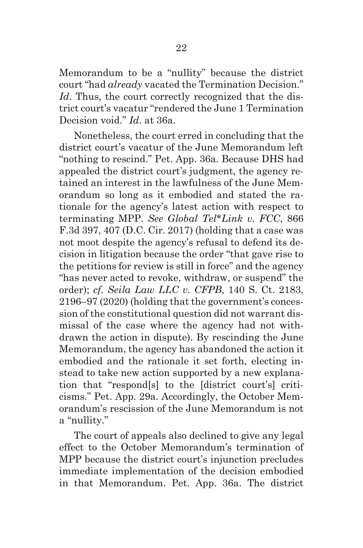Memorandum to be a "nullity" because the district court "had *already* vacated the Termination Decision." Id. Thus, the court correctly recognized that the district court's vacatur "rendered the June 1 Termination Decision void." *Id*. at 36a.

Nonetheless, the court erred in concluding that the district court's vacatur of the June Memorandum left "nothing to rescind." Pet. App. 36a. Because DHS had appealed the district court's judgment, the agency retained an interest in the lawfulness of the June Memorandum so long as it embodied and stated the rationale for the agency's latest action with respect to terminating MPP. *See Global Tel\*Link v. FCC*, 866 F.3d 397, 407 (D.C. Cir. 2017) (holding that a case was not moot despite the agency's refusal to defend its decision in litigation because the order "that gave rise to the petitions for review is still in force" and the agency "has never acted to revoke, withdraw, or suspend" the order); *cf*. *Seila Law LLC v. CFPB*, 140 S. Ct. 2183, 2196–97 (2020) (holding that the government's concession of the constitutional question did not warrant dismissal of the case where the agency had not withdrawn the action in dispute). By rescinding the June Memorandum, the agency has abandoned the action it embodied and the rationale it set forth, electing instead to take new action supported by a new explanation that "respond[s] to the [district court's] criticisms." Pet. App. 29a. Accordingly, the October Memorandum's rescission of the June Memorandum is not a "nullity."

The court of appeals also declined to give any legal effect to the October Memorandum's termination of MPP because the district court's injunction precludes immediate implementation of the decision embodied in that Memorandum. Pet. App. 36a. The district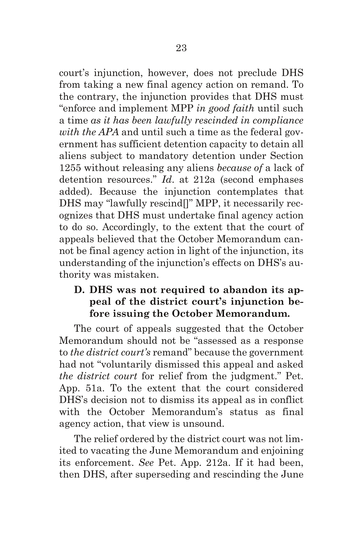court's injunction, however, does not preclude DHS from taking a new final agency action on remand. To the contrary, the injunction provides that DHS must "enforce and implement MPP *in good faith* until such a time *as it has been lawfully rescinded in compliance with the APA* and until such a time as the federal government has sufficient detention capacity to detain all aliens subject to mandatory detention under Section 1255 without releasing any aliens *because of* a lack of detention resources." *Id*. at 212a (second emphases added). Because the injunction contemplates that DHS may "lawfully rescind[]" MPP, it necessarily recognizes that DHS must undertake final agency action to do so. Accordingly, to the extent that the court of appeals believed that the October Memorandum cannot be final agency action in light of the injunction, its understanding of the injunction's effects on DHS's authority was mistaken.

## **D. DHS was not required to abandon its appeal of the district court's injunction before issuing the October Memorandum.**

The court of appeals suggested that the October Memorandum should not be "assessed as a response to *the district court's* remand" because the government had not "voluntarily dismissed this appeal and asked *the district court* for relief from the judgment." Pet. App. 51a. To the extent that the court considered DHS's decision not to dismiss its appeal as in conflict with the October Memorandum's status as final agency action, that view is unsound.

The relief ordered by the district court was not limited to vacating the June Memorandum and enjoining its enforcement. *See* Pet. App. 212a. If it had been, then DHS, after superseding and rescinding the June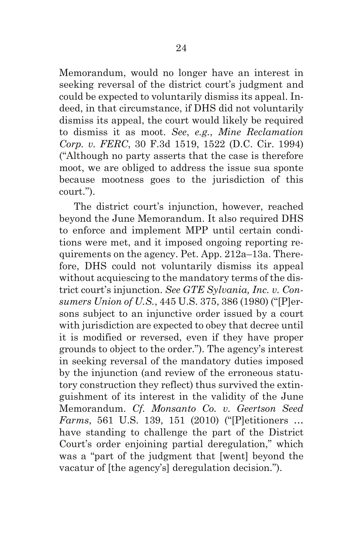Memorandum, would no longer have an interest in seeking reversal of the district court's judgment and could be expected to voluntarily dismiss its appeal. Indeed, in that circumstance, if DHS did not voluntarily dismiss its appeal, the court would likely be required to dismiss it as moot. *See*, *e.g.*, *Mine Reclamation Corp. v. FERC*, 30 F.3d 1519, 1522 (D.C. Cir. 1994) ("Although no party asserts that the case is therefore moot, we are obliged to address the issue sua sponte because mootness goes to the jurisdiction of this court.").

The district court's injunction, however, reached beyond the June Memorandum. It also required DHS to enforce and implement MPP until certain conditions were met, and it imposed ongoing reporting requirements on the agency. Pet. App. 212a–13a. Therefore, DHS could not voluntarily dismiss its appeal without acquiescing to the mandatory terms of the district court's injunction. *See GTE Sylvania, Inc. v. Consumers Union of U.S.*, 445 U.S. 375, 386 (1980) ("[P]ersons subject to an injunctive order issued by a court with jurisdiction are expected to obey that decree until it is modified or reversed, even if they have proper grounds to object to the order."). The agency's interest in seeking reversal of the mandatory duties imposed by the injunction (and review of the erroneous statutory construction they reflect) thus survived the extinguishment of its interest in the validity of the June Memorandum. *Cf. Monsanto Co. v. Geertson Seed Farms*, 561 U.S. 139, 151 (2010) ("[P]etitioners … have standing to challenge the part of the District Court's order enjoining partial deregulation," which was a "part of the judgment that [went] beyond the vacatur of [the agency's] deregulation decision.").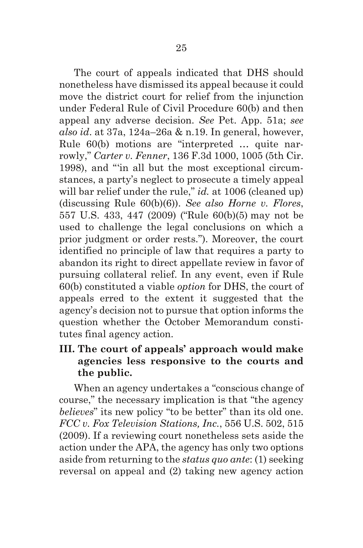The court of appeals indicated that DHS should nonetheless have dismissed its appeal because it could move the district court for relief from the injunction under Federal Rule of Civil Procedure 60(b) and then appeal any adverse decision. *See* Pet. App. 51a; *see also id*. at 37a, 124a–26a & n.19. In general, however, Rule 60(b) motions are "interpreted … quite narrowly," *Carter v. Fenner*, 136 F.3d 1000, 1005 (5th Cir. 1998), and "'in all but the most exceptional circumstances, a party's neglect to prosecute a timely appeal will bar relief under the rule," *id.* at 1006 (cleaned up) (discussing Rule 60(b)(6)). *See also Horne v. Flores*, 557 U.S. 433, 447 (2009) ("Rule 60(b)(5) may not be used to challenge the legal conclusions on which a prior judgment or order rests."). Moreover, the court identified no principle of law that requires a party to abandon its right to direct appellate review in favor of pursuing collateral relief. In any event, even if Rule 60(b) constituted a viable *option* for DHS, the court of appeals erred to the extent it suggested that the agency's decision not to pursue that option informs the question whether the October Memorandum constitutes final agency action.

# **III. The court of appeals' approach would make agencies less responsive to the courts and the public.**

When an agency undertakes a "conscious change of course," the necessary implication is that "the agency *believes*" its new policy "to be better" than its old one. *FCC v. Fox Television Stations, Inc.*, 556 U.S. 502, 515 (2009). If a reviewing court nonetheless sets aside the action under the APA, the agency has only two options aside from returning to the *status quo ante*: (1) seeking reversal on appeal and (2) taking new agency action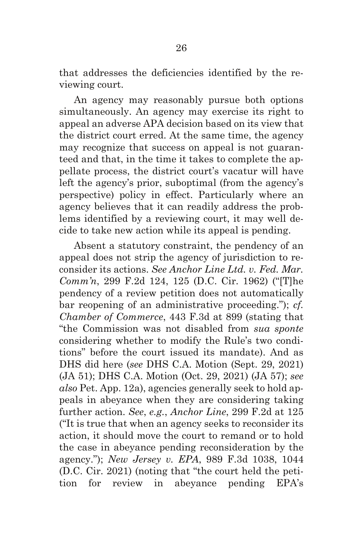that addresses the deficiencies identified by the reviewing court.

An agency may reasonably pursue both options simultaneously. An agency may exercise its right to appeal an adverse APA decision based on its view that the district court erred. At the same time, the agency may recognize that success on appeal is not guaranteed and that, in the time it takes to complete the appellate process, the district court's vacatur will have left the agency's prior, suboptimal (from the agency's perspective) policy in effect. Particularly where an agency believes that it can readily address the problems identified by a reviewing court, it may well decide to take new action while its appeal is pending.

Absent a statutory constraint, the pendency of an appeal does not strip the agency of jurisdiction to reconsider its actions. *See Anchor Line Ltd. v. Fed. Mar. Comm'n*, 299 F.2d 124, 125 (D.C. Cir. 1962) ("[T]he pendency of a review petition does not automatically bar reopening of an administrative proceeding."); *cf. Chamber of Commerce*, 443 F.3d at 899 (stating that "the Commission was not disabled from *sua sponte* considering whether to modify the Rule's two conditions" before the court issued its mandate). And as DHS did here (*see* DHS C.A. Motion (Sept. 29, 2021) (JA 51); DHS C.A. Motion (Oct. 29, 2021) (JA 57); *see also* Pet. App. 12a), agencies generally seek to hold appeals in abeyance when they are considering taking further action. *See*, *e.g.*, *Anchor Line*, 299 F.2d at 125 ("It is true that when an agency seeks to reconsider its action, it should move the court to remand or to hold the case in abeyance pending reconsideration by the agency."); *New Jersey v. EPA*, 989 F.3d 1038, 1044 (D.C. Cir. 2021) (noting that "the court held the petition for review in abeyance pending EPA's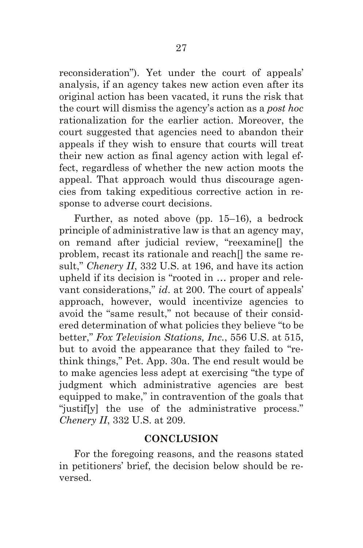reconsideration"). Yet under the court of appeals' analysis, if an agency takes new action even after its original action has been vacated, it runs the risk that the court will dismiss the agency's action as a *post hoc* rationalization for the earlier action. Moreover, the court suggested that agencies need to abandon their appeals if they wish to ensure that courts will treat their new action as final agency action with legal effect, regardless of whether the new action moots the appeal. That approach would thus discourage agencies from taking expeditious corrective action in response to adverse court decisions.

Further, as noted above (pp. 15–16), a bedrock principle of administrative law is that an agency may, on remand after judicial review, "reexamine[] the problem, recast its rationale and reach[] the same result," *Chenery II*, 332 U.S. at 196, and have its action upheld if its decision is "rooted in … proper and relevant considerations," *id*. at 200. The court of appeals' approach, however, would incentivize agencies to avoid the "same result," not because of their considered determination of what policies they believe "to be better," *Fox Television Stations, Inc.*, 556 U.S. at 515, but to avoid the appearance that they failed to "rethink things," Pet. App. 30a. The end result would be to make agencies less adept at exercising "the type of judgment which administrative agencies are best equipped to make," in contravention of the goals that "justif[y] the use of the administrative process." *Chenery II*, 332 U.S. at 209.

### **CONCLUSION**

For the foregoing reasons, and the reasons stated in petitioners' brief, the decision below should be reversed.